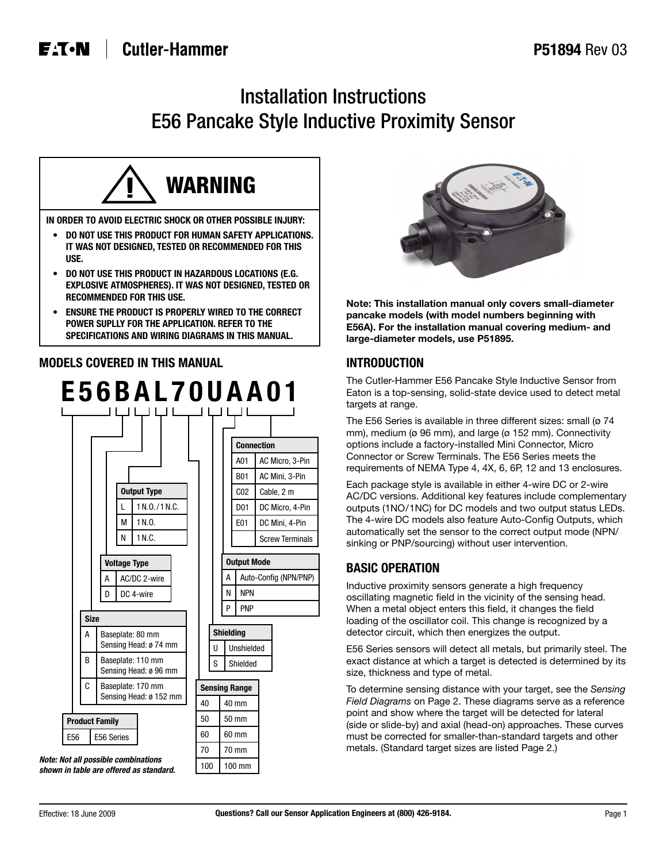# Installation Instructions E56 Pancake Style Inductive Proximity Sensor



- **IT WAS NOT DESIGNED, TESTED OR RECOMMENDED FOR THIS USE.**
- **DO NOT USE THIS PRODUCT IN HAZARDOUS LOCATIONS (E.G. EXPLOSIVE ATMOSPHERES). IT WAS NOT DESIGNED, TESTED OR RECOMMENDED FOR THIS USE.**
- **ENSURE THE PRODUCT IS PROPERLY WIRED TO THE CORRECT POWER SUPLLY FOR THE APPLICATION. REFER TO THE SPECIFICATIONS AND WIRING DIAGRAMS IN THIS MANUAL.**

### **MODELS COVERED IN THIS MANUAL**





**Note: This installation manual only covers small-diameter pancake models (with model numbers beginning with E56A). For the installation manual covering medium- and large-diameter models, use P51895.**

### **INTRODUCTION**

The Cutler-Hammer E56 Pancake Style Inductive Sensor from Eaton is a top-sensing, solid-state device used to detect metal targets at range.

The E56 Series is available in three different sizes: small (ø 74 mm), medium (ø 96 mm), and large (ø 152 mm). Connectivity options include a factory-installed Mini Connector, Micro Connector or Screw Terminals. The E56 Series meets the requirements of NEMA Type 4, 4X, 6, 6P, 12 and 13 enclosures.

Each package style is available in either 4-wire DC or 2-wire AC/DC versions. Additional key features include complementary outputs (1NO/1NC) for DC models and two output status LEDs. The 4-wire DC models also feature Auto-Config Outputs, which automatically set the sensor to the correct output mode (NPN/ sinking or PNP/sourcing) without user intervention.

## **BASIC OPERATION**

Inductive proximity sensors generate a high frequency oscillating magnetic field in the vicinity of the sensing head. When a metal object enters this field, it changes the field loading of the oscillator coil. This change is recognized by a detector circuit, which then energizes the output.

E56 Series sensors will detect all metals, but primarily steel. The exact distance at which a target is detected is determined by its size, thickness and type of metal.

To determine sensing distance with your target, see the *Sensing Field Diagrams* on Page 2. These diagrams serve as a reference point and show where the target will be detected for lateral (side or slide-by) and axial (head-on) approaches. These curves must be corrected for smaller-than-standard targets and other metals. (Standard target sizes are listed Page 2.)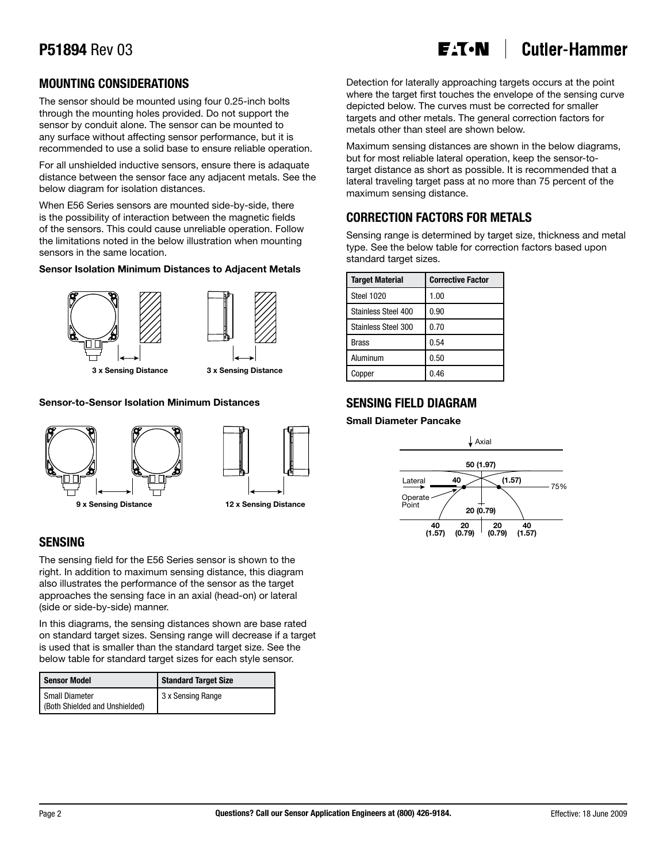#### **Cutler-Hammer** E<sub>'</sub>T.N

### **MOUNTING CONSIDERATIONS**

The sensor should be mounted using four 0.25-inch bolts through the mounting holes provided. Do not support the sensor by conduit alone. The sensor can be mounted to any surface without affecting sensor performance, but it is recommended to use a solid base to ensure reliable operation.

For all unshielded inductive sensors, ensure there is adaquate distance between the sensor face any adjacent metals. See the below diagram for isolation distances.

When E56 Series sensors are mounted side-by-side, there is the possibility of interaction between the magnetic fields of the sensors. This could cause unreliable operation. Follow the limitations noted in the below illustration when mounting sensors in the same location.

#### **Sensor Isolation Minimum Distances to Adjacent Metals**





**3 x Sensing Distance 3 x Sensing Distance**

### **Sensor-to-Sensor Isolation Minimum Distances**





### **SENSING**

The sensing field for the E56 Series sensor is shown to the right. In addition to maximum sensing distance, this diagram also illustrates the performance of the sensor as the target approaches the sensing face in an axial (head-on) or lateral (side or side-by-side) manner.

In this diagrams, the sensing distances shown are base rated on standard target sizes. Sensing range will decrease if a target is used that is smaller than the standard target size. See the below table for standard target sizes for each style sensor.

| Sensor Model                                     | <b>Standard Target Size</b> |  |  |
|--------------------------------------------------|-----------------------------|--|--|
| Small Diameter<br>(Both Shielded and Unshielded) | 3 x Sensing Range           |  |  |

Detection for laterally approaching targets occurs at the point where the target first touches the envelope of the sensing curve depicted below. The curves must be corrected for smaller targets and other metals. The general correction factors for metals other than steel are shown below.

Maximum sensing distances are shown in the below diagrams, but for most reliable lateral operation, keep the sensor-totarget distance as short as possible. It is recommended that a lateral traveling target pass at no more than 75 percent of the maximum sensing distance.

### **CORRECTION FACTORS FOR METALS**

Sensing range is determined by target size, thickness and metal type. See the below table for correction factors based upon standard target sizes.

| <b>Target Material</b> | <b>Corrective Factor</b> |  |  |  |
|------------------------|--------------------------|--|--|--|
| Steel 1020             | 1.00                     |  |  |  |
| Stainless Steel 400    | 0.90                     |  |  |  |
| Stainless Steel 300    | 0.70                     |  |  |  |
| <b>Brass</b>           | 0.54                     |  |  |  |
| Aluminum               | 0.50                     |  |  |  |
| Copper                 | 0.46                     |  |  |  |

### **SENSING FIELD DIAGRAM**

### **Small Diameter Pancake**

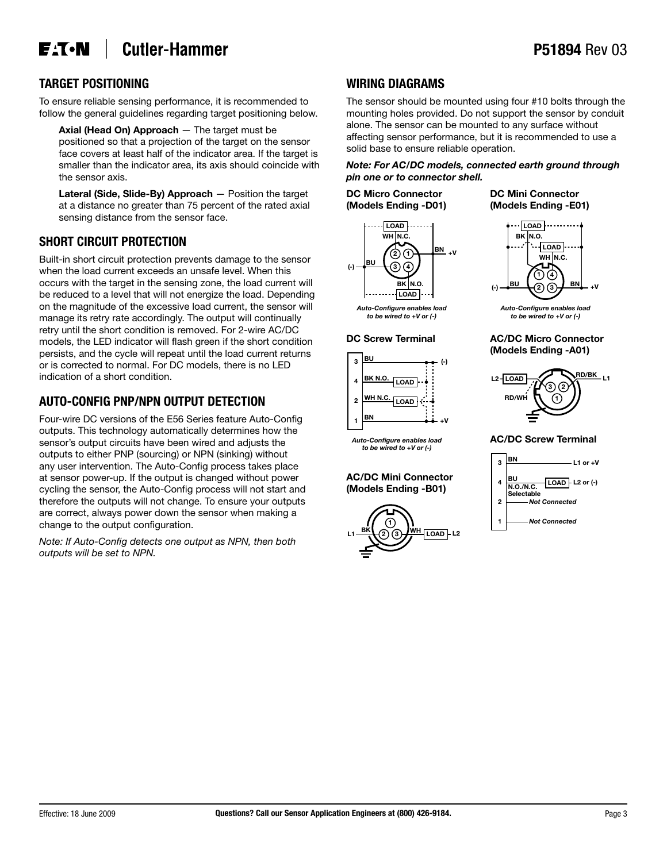#### **Cutler-Hammer E**T.N

### **TARGET POSITIONING**

To ensure reliable sensing performance, it is recommended to follow the general guidelines regarding target positioning below.

**Axial (Head On) Approach** — The target must be positioned so that a projection of the target on the sensor face covers at least half of the indicator area. If the target is smaller than the indicator area, its axis should coincide with the sensor axis.

**Lateral (Side, Slide-By) Approach** — Position the target at a distance no greater than 75 percent of the rated axial sensing distance from the sensor face.

### **SHORT CIRCUIT PROTECTION**

Built-in short circuit protection prevents damage to the sensor when the load current exceeds an unsafe level. When this occurs with the target in the sensing zone, the load current will be reduced to a level that will not energize the load. Depending on the magnitude of the excessive load current, the sensor will manage its retry rate accordingly. The output will continually retry until the short condition is removed. For 2-wire AC/DC models, the LED indicator will flash green if the short condition persists, and the cycle will repeat until the load current returns or is corrected to normal. For DC models, there is no LED indication of a short condition.

### **AUTO-CONFIG PNP/NPN OUTPUT DETECTION**

Four-wire DC versions of the E56 Series feature Auto-Config outputs. This technology automatically determines how the sensor's output circuits have been wired and adjusts the outputs to either PNP (sourcing) or NPN (sinking) without any user intervention. The Auto-Config process takes place at sensor power-up. If the output is changed without power cycling the sensor, the Auto-Config process will not start and therefore the outputs will not change. To ensure your outputs are correct, always power down the sensor when making a change to the output configuration.

*Note: If Auto-Config detects one output as NPN, then both outputs will be set to NPN.*

### **WIRING DIAGRAMS**

The sensor should be mounted using four #10 bolts through the mounting holes provided. Do not support the sensor by conduit alone. The sensor can be mounted to any surface without affecting sensor performance, but it is recommended to use a solid base to ensure reliable operation.

#### *Note: For AC/DC models, connected earth ground through pin one or to connector shell.*

**DC Micro Connector DC Mini Connector**



**(Models Ending -D01) (Models Ending -E01)**



*Auto-Configure enables load to be wired to +V or (-)*



*Auto-Configure enables load to be wired to +V or (-)*

#### **AC/DC Mini Connector (Models Ending -B01)**







#### **AC/DC Screw Terminal**